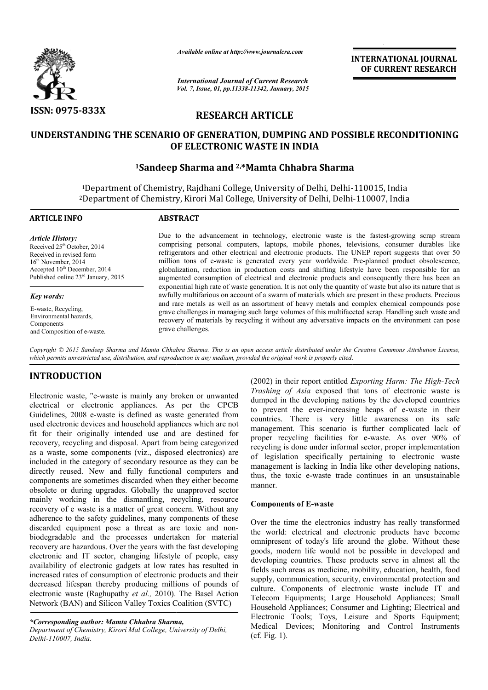

*Available online at http://www.journalcra.com*

*International Journal of Current Research Vol. 7, Issue, 01, pp.11338-11342, January, 2015* **INTERNATIONAL INTERNATIONAL JOURNAL OF CURRENT RESEARCH** 

# **RESEARCH ARTICLE**

# UNDERSTANDING THE SCENARIO OF GENERATION, DUMPING AND POSSIBLE RECONDITIONING<br>OF ELECTRONIC WASTE IN INDIA<br><sup>1</sup>Sandeep Sharma and <sup>2,\*</sup>Mamta Chhabra Sharma **OF ELECTRONIC WASTE IN INDIA**

### **1Sandeep Sharma Sandeep and 2, \*Mamta Chhabra Sharma**

 $^{1}$ Department of Chemistry, Rajdhani College, University of Delhi, Delhi-110015, India <sup>2</sup>Department of Chemistry, Kirori Mal College, University of Delhi, Delhi-110007, India

| <b>ARTICLE INFO</b>                                                                                                                                                                                                    | <b>ABSTRACT</b>                                                                                                                                                                                                                                                                                                                                                                                                                                                                                                                                                                                                                                                                                                                                                                                                                                                                                                                                                                                                                                                                                                                                              |
|------------------------------------------------------------------------------------------------------------------------------------------------------------------------------------------------------------------------|--------------------------------------------------------------------------------------------------------------------------------------------------------------------------------------------------------------------------------------------------------------------------------------------------------------------------------------------------------------------------------------------------------------------------------------------------------------------------------------------------------------------------------------------------------------------------------------------------------------------------------------------------------------------------------------------------------------------------------------------------------------------------------------------------------------------------------------------------------------------------------------------------------------------------------------------------------------------------------------------------------------------------------------------------------------------------------------------------------------------------------------------------------------|
| <b>Article History:</b><br>Received 25 <sup>th</sup> October, 2014<br>Received in revised form<br>$16th$ November, 2014<br>Accepted 10 <sup>th</sup> December, 2014<br>Published online 23 <sup>rd</sup> January, 2015 | Due to the advancement in technology, electronic waste is the fastest-growing scrap stream<br>comprising personal computers, laptops, mobile phones, televisions, consumer durables like<br>refrigerators and other electrical and electronic products. The UNEP report suggests that over 50<br>million tons of e-waste is generated every year worldwide. Pre-planned product obsolescence,<br>globalization, reduction in production costs and shifting lifestyle have been responsible for an<br>augmented consumption of electrical and electronic products and consequently there has been an<br>exponential high rate of waste generation. It is not only the quantity of waste but also its nature that is<br>awfully multifarious on account of a swarm of materials which are present in these products. Precious<br>and rare metals as well as an assortment of heavy metals and complex chemical compounds pose<br>grave challenges in managing such large volumes of this multifaceted scrap. Handling such waste and<br>recovery of materials by recycling it without any adversative impacts on the environment can pose<br>grave challenges. |
| Key words:<br>E-waste, Recycling,<br>Environmental hazards.<br>Components<br>and Composition of e-waste.                                                                                                               |                                                                                                                                                                                                                                                                                                                                                                                                                                                                                                                                                                                                                                                                                                                                                                                                                                                                                                                                                                                                                                                                                                                                                              |

Copyright © 2015 Sandeep Sharma and Mamta Chhabra Sharma. This is an open access article distributed under the Creative Commons Attribution License, *which permits unrestricted use, distribution, and reproduction in any medium, provided the original work is properly cited.* distribution, and reproduction in any medium, provided the original work is properly cited.<br>(2002) in their report entitled *Exporting Harm: The High-Tech* (2002) <sup>2</sup>) in their report entitled *Exporting Harm: The High-Tec* 

## **INTRODUCTION**

Electronic waste, "e-waste is mainly any broken or unwanted electrical or electronic appliances. As per the CPCB Guidelines, 2008 e-waste is defined as waste generated from used electronic devices and household appliances which are not fit for their originally intended use and are destined for recovery, recycling and disposal. Apart from being categorized as a waste, some components (viz., disposed electronics) are included in the category of secondary resource as they can be directly reused. New and fully functional computers and components are sometimes discarded when they either become obsolete or during upgrades. Globally the unapproved sector mainly working in the dismantling, recycling, resource recovery of e waste is a matter of great concern. Without any adherence to the safety guidelines, many components of these discarded equipment pose a threat as are toxic and nonbiodegradable and the processes undertaken for material recovery are hazardous. Over the years with the fast developing electronic and IT sector, changing lifestyle of people, easy availability of electronic gadgets at low rates has resulted in increased rates of consumption of electronic products and their decreased lifespan thereby producing millions of pounds of electronic waste (Raghupathy *et al.,* 2010). The Basel Action Network (BAN) and Silicon Valley Toxics Coalition (SVTC) waste<br>ronic<br>waste i<br>ces and<br>ally in

*Trashing of Asia* exposed that tons of electronic waste is dumped in the developing nations by the developed countries to prevent the ever-increasing heaps of e-waste in their countries. There is very little awareness on its safe management. This scenario is further complicated lack of management. This scenario is further complicated lack of proper recycling facilities for e-waste. As over 90% of recycling is done under informal sector, proper implementation of legislation specifically pertaining to electronic waste management is lacking in India like other developing nations, thus, the toxic e-waste trade continues in an unsustainable manner. that to that to the developed countries increasing heaps of e-waste in their legislation specifically pertaining to electronic wasted agement is lacking in India like other developing nations,<br>the toxic e-waste trade continues in an unsustainable

#### **Components of E-waste**

Over the time the electronics industry has really transformed Over the time the electronics industry has really transformed<br>the world: electrical and electronic products have become omnipresent of today's life around the globe. Without these goods, modern life would not be possible in developed and developing countries. These products serve in almost all the fields such areas as medicine, mobility, education, health, food supply, communication, security, environmental protection and culture. Components of electronic waste include IT and Telecom Equipments; Large Household Appliances; Small Telecom Equipments; Large Household Appliances; Small<br>Household Appliances; Consumer and Lighting; Electrical and Electronic Tools; Toys, Leisur Tools; Leisure and Sports Equipment; Medical Devices; Monitoring and Control Instruments (cf. Fig. 1). ent of today's life around the globe. Without these nodern life would not be possible in developed and ng countries. These products serve in almost all the h areas as medicine, mobility, education, health, food ommunicatio

*<sup>\*</sup>Corresponding author: Mamta Chhabra Sharma Sharma,*

*Department of Chemistry, Kirori Mal College, University of Delhi, Delhi-110007, India.*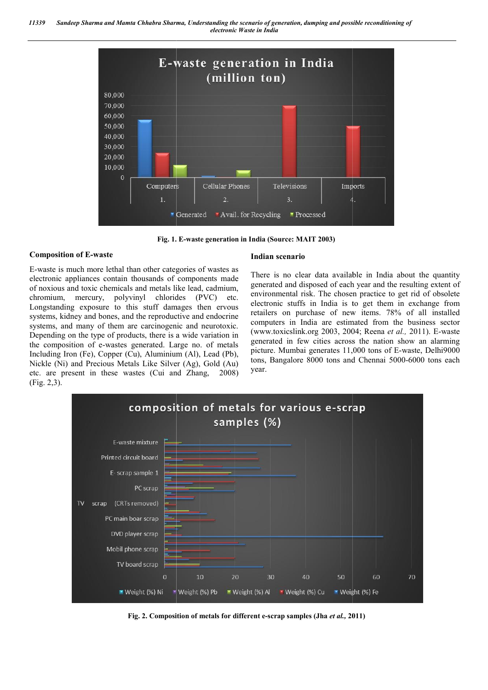



**Fig. 1. . E-waste generation in India (Source: MAIT 2003)**

#### **Composition of E-waste**

E-waste is much more lethal than other categories of wastes as electronic appliances contain thousands of components made of noxious and toxic chemicals and metals like lead, cadmium, chromium, mercury, polyvinyl chlorides (PVC) etc. Longstanding exposure to this stuff damages then ervous systems, kidney and bones, and the reproductive and endocrine systems, and many of them are carcinogenic and neurotoxic. Depending on the type of products, there is a wide variation in the composition of e-wastes generated. Large no. of metals the composition of e-wastes generated. Large no. of metals Including Iron (Fe), Copper (Cu), Aluminium (Al), Lead (Pb), Nickle (Ni) and Precious Metals Like Silver (Ag), Gold (Au) etc. are present in these wastes (Cui and Zhang Zhang, 2008) (Fig. 2,3).

#### **Indian scenario**

There is no clear data available in India about the quantity generated and disposed of each year and the resulting extent of environmental risk. The chosen practice to get rid of obsolete electronic stuffs in India is to get them in exchange from retailers on purchase of new items. 78% of all installed computers in India are estimated from the business sector (www.toxicslink.org 2003, 2004; Reena *et al.,* 2011). E-waste generated in few cities across the nation show an alarming generated in few cities across the nation show an alarming picture. Mumbai generates 11,000 tons of E-waste, Delhi9000 tons, Bangalore 8000 tons and Chennai 5000-6000 tons each year. lear data available in India about the quantity disposed of each year and the resulting extent of risk. The chosen practice to get rid of obsolete ffs in India is to get them in exchange from uurchase of new items. 78% of



**Fig. 2. Composition of metals for different e e-scrap samples (Jha** *et al.,* **2011)**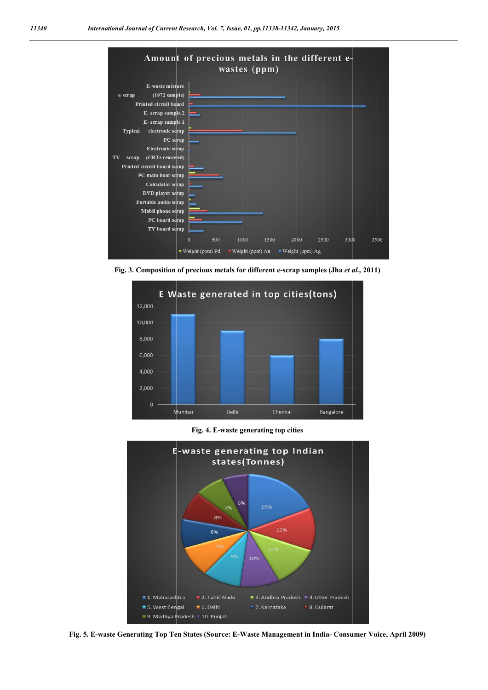

**Fig. 3. Composition of precious metals for different e e-scrap samples (Jha** *et al.,* **2011)**



**Fig. 4. E-waste generating top cities**



Fig. 5. E-waste Generating Top Ten States (Source: E-Waste Management in India- Consumer Voice, April 2009)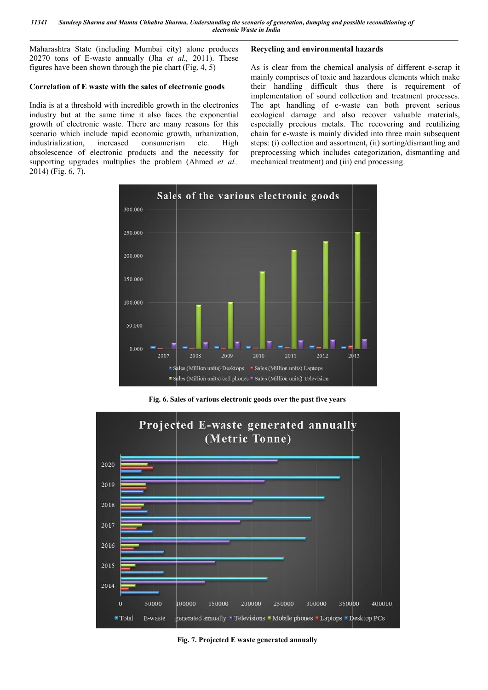Maharashtra State (including Mumbai city) alone produces 20270 tons of E-waste annually (Jha *et al.,*  2011). These figures have been shown through the pie chart (Fig. 4, 5)

#### **Correlation of E waste with the sales of electronic goods orrelation**

India is at a threshold with incredible growth in the electronics industry but at the same time it also faces the exponential growth of electronic waste. There are many reasons for this scenario which include rapid economic growth, urbanization, industrialization, increased consumerism etc. obsolescence of electronic products and the necessity for supporting upgrades multiplies the problem (Ahmed *et al.,*  2014) (Fig. 6, 7). High

#### **Recycling and environmental hazards ecycling hazards**

As is clear from the chemical analysis of different e-scrap it mainly comprises of toxic and hazardous elements which make their handling difficult thus there is requirement of implementation of sound collection and treatment processes. The apt handling of e-waste can both prevent serious their handling difficult thus there is requirement of implementation of sound collection and treatment processes.<br>The apt handling of e-waste can both prevent serious ecological damage and also recover valuable materials, especially precious metals. The recovering and reutilizing chain for e-waste is mainly divided into three main subsequent chain for e-waste is mainly divided into three main subsequent steps: (i) collection and assortment, (ii) sorting/dismantling and preprocessing which includes categorization, dismantling and mechanical treatment) and (iii) end processing. mechanical treatment) and (iii) end processing.



**Fig. 6. Sales of various electronic goods over the past five years**



**Fig. 7. Projected E waste generated annually**